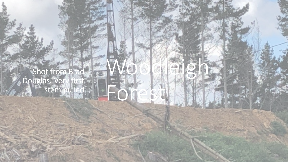Shot from Brad Douglas. Very first stem pulled

Woodleigh

Forest